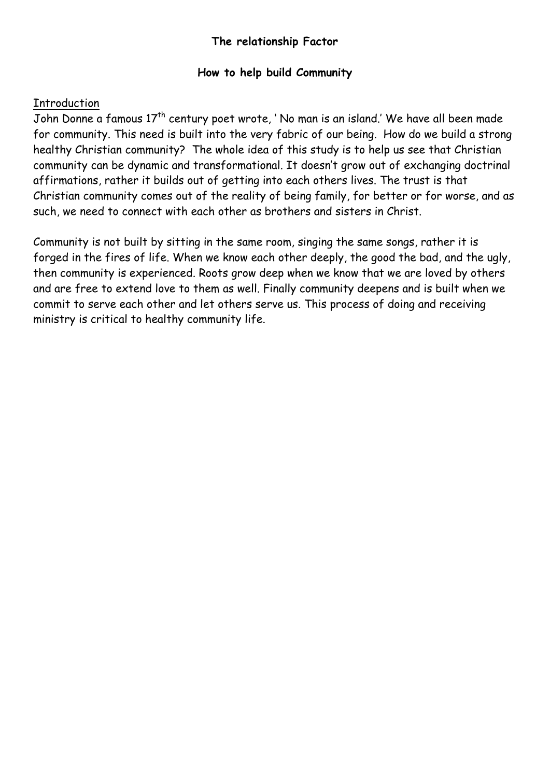# **The relationship Factor**

#### **How to help build Community**

#### **Introduction**

John Donne a famous 17<sup>th</sup> century poet wrote, ' No man is an island.' We have all been made for community. This need is built into the very fabric of our being. How do we build a strong healthy Christian community? The whole idea of this study is to help us see that Christian community can be dynamic and transformational. It doesn't grow out of exchanging doctrinal affirmations, rather it builds out of getting into each others lives. The trust is that Christian community comes out of the reality of being family, for better or for worse, and as such, we need to connect with each other as brothers and sisters in Christ.

Community is not built by sitting in the same room, singing the same songs, rather it is forged in the fires of life. When we know each other deeply, the good the bad, and the ugly, then community is experienced. Roots grow deep when we know that we are loved by others and are free to extend love to them as well. Finally community deepens and is built when we commit to serve each other and let others serve us. This process of doing and receiving ministry is critical to healthy community life.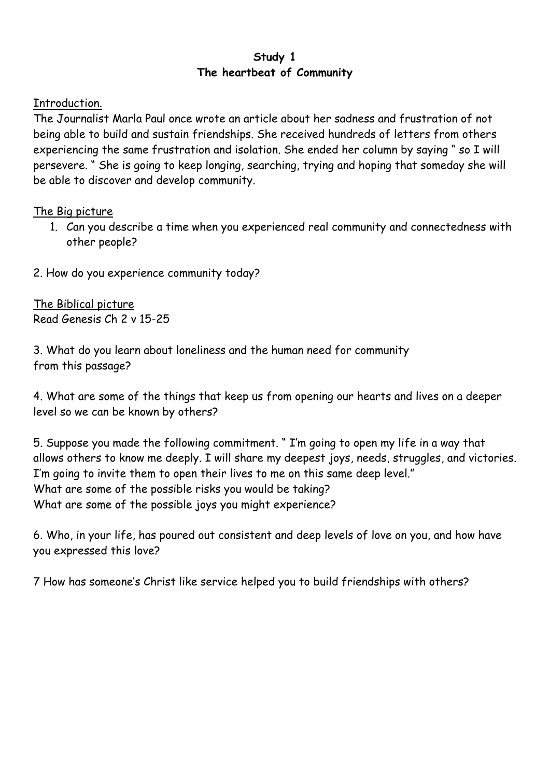# **Study 1 The heartbeat of Community**

# Introduction.

The Journalist Marla Paul once wrote an article about her sadness and frustration of not being able to build and sustain friendships. She received hundreds of letters from others experiencing the same frustration and isolation. She ended her column by saying " so I will persevere. " She is going to keep longing, searching, trying and hoping that someday she will be able to discover and develop community.

# The Big picture

- 1. Can you describe a time when you experienced real community and connectedness with other people?
- 2. How do you experience community today?

The Biblical picture Read Genesis Ch 2 v 15-25

3. What do you learn about loneliness and the human need for community from this passage?

4. What are some of the things that keep us from opening our hearts and lives on a deeper level so we can be known by others?

5. Suppose you made the following commitment. " I'm going to open my life in a way that allows others to know me deeply. I will share my deepest joys, needs, struggles, and victories. I'm going to invite them to open their lives to me on this same deep level." What are some of the possible risks you would be taking? What are some of the possible joys you might experience?

6. Who, in your life, has poured out consistent and deep levels of love on you, and how have you expressed this love?

7 How has someone's Christ like service helped you to build friendships with others?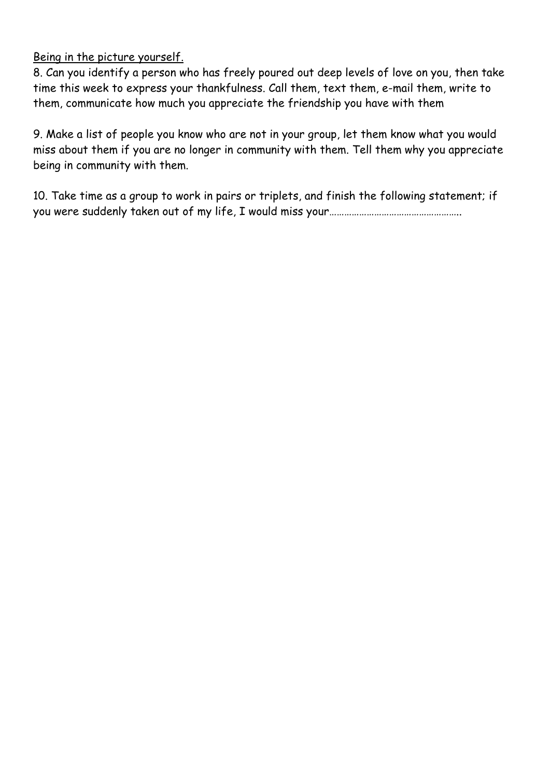# Being in the picture yourself.

8. Can you identify a person who has freely poured out deep levels of love on you, then take time this week to express your thankfulness. Call them, text them, e-mail them, write to them, communicate how much you appreciate the friendship you have with them

9. Make a list of people you know who are not in your group, let them know what you would miss about them if you are no longer in community with them. Tell them why you appreciate being in community with them.

10. Take time as a group to work in pairs or triplets, and finish the following statement; if you were suddenly taken out of my life, I would miss your……………………………………………..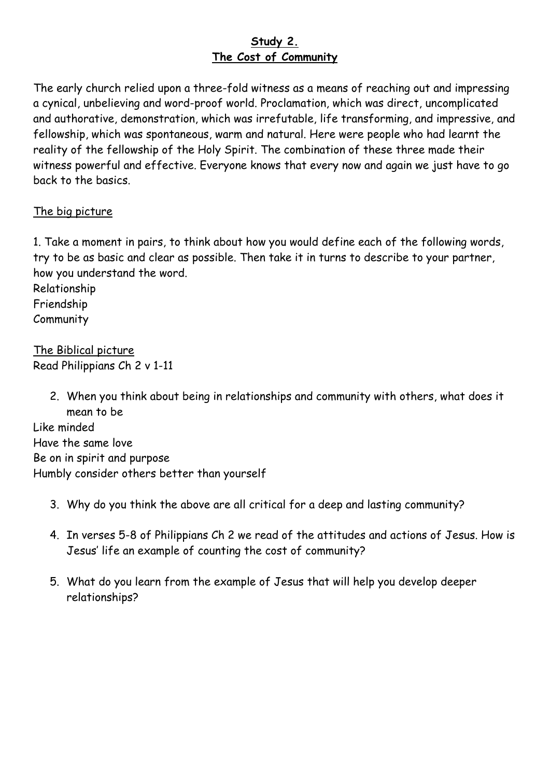# **Study 2. The Cost of Community**

The early church relied upon a three-fold witness as a means of reaching out and impressing a cynical, unbelieving and word-proof world. Proclamation, which was direct, uncomplicated and authorative, demonstration, which was irrefutable, life transforming, and impressive, and fellowship, which was spontaneous, warm and natural. Here were people who had learnt the reality of the fellowship of the Holy Spirit. The combination of these three made their witness powerful and effective. Everyone knows that every now and again we just have to go back to the basics.

# The big picture

1. Take a moment in pairs, to think about how you would define each of the following words, try to be as basic and clear as possible. Then take it in turns to describe to your partner, how you understand the word.

Relationship Friendship

**Community** 

The Biblical picture Read Philippians Ch 2 v 1-11

> 2. When you think about being in relationships and community with others, what does it mean to be

Like minded Have the same love Be on in spirit and purpose Humbly consider others better than yourself

- 3. Why do you think the above are all critical for a deep and lasting community?
- 4. In verses 5-8 of Philippians Ch 2 we read of the attitudes and actions of Jesus. How is Jesus' life an example of counting the cost of community?
- 5. What do you learn from the example of Jesus that will help you develop deeper relationships?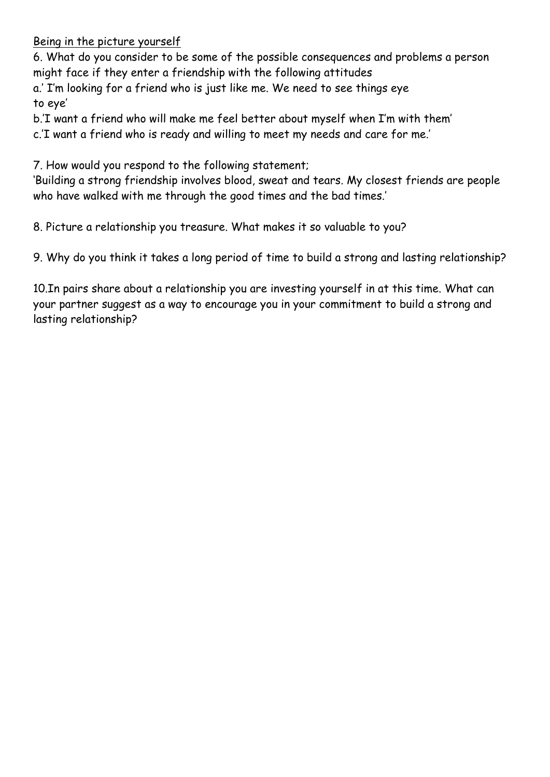Being in the picture yourself

6. What do you consider to be some of the possible consequences and problems a person might face if they enter a friendship with the following attitudes

a.' I'm looking for a friend who is just like me. We need to see things eye to eye'

b.'I want a friend who will make me feel better about myself when I'm with them'

c.'I want a friend who is ready and willing to meet my needs and care for me.'

7. How would you respond to the following statement;

'Building a strong friendship involves blood, sweat and tears. My closest friends are people who have walked with me through the good times and the bad times.'

8. Picture a relationship you treasure. What makes it so valuable to you?

9. Why do you think it takes a long period of time to build a strong and lasting relationship?

10.In pairs share about a relationship you are investing yourself in at this time. What can your partner suggest as a way to encourage you in your commitment to build a strong and lasting relationship?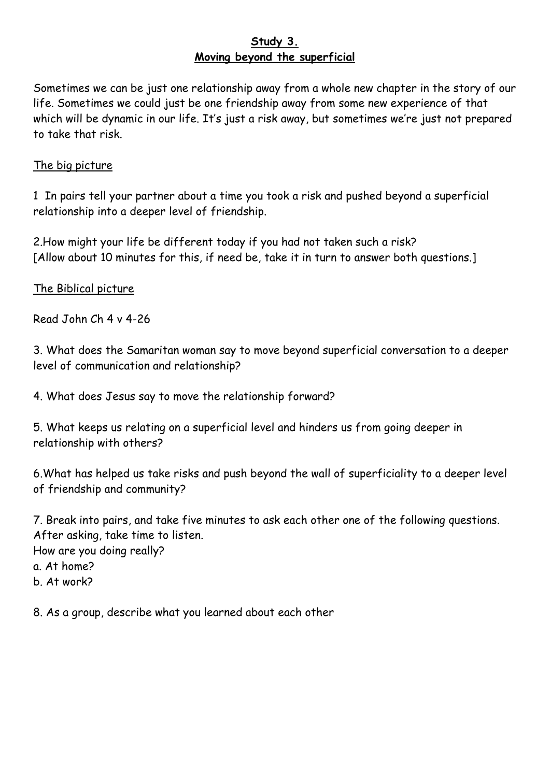## **Study 3. Moving beyond the superficial**

Sometimes we can be just one relationship away from a whole new chapter in the story of our life. Sometimes we could just be one friendship away from some new experience of that which will be dynamic in our life. It's just a risk away, but sometimes we're just not prepared to take that risk.

# The big picture

1 In pairs tell your partner about a time you took a risk and pushed beyond a superficial relationship into a deeper level of friendship.

2.How might your life be different today if you had not taken such a risk? [Allow about 10 minutes for this, if need be, take it in turn to answer both questions.]

The Biblical picture

Read John Ch 4 v 4-26

3. What does the Samaritan woman say to move beyond superficial conversation to a deeper level of communication and relationship?

4. What does Jesus say to move the relationship forward?

5. What keeps us relating on a superficial level and hinders us from going deeper in relationship with others?

6.What has helped us take risks and push beyond the wall of superficiality to a deeper level of friendship and community?

7. Break into pairs, and take five minutes to ask each other one of the following questions. After asking, take time to listen. How are you doing really? a. At home? b. At work?

8. As a group, describe what you learned about each other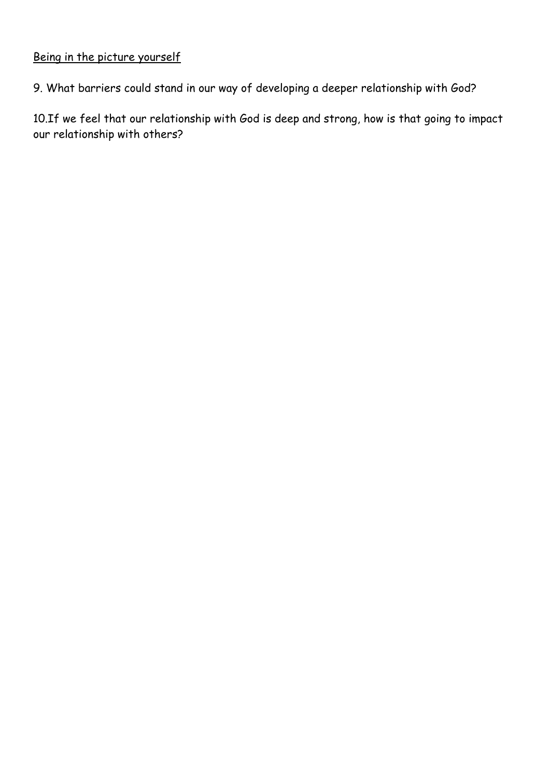# Being in the picture yourself

9. What barriers could stand in our way of developing a deeper relationship with God?

10.If we feel that our relationship with God is deep and strong, how is that going to impact our relationship with others?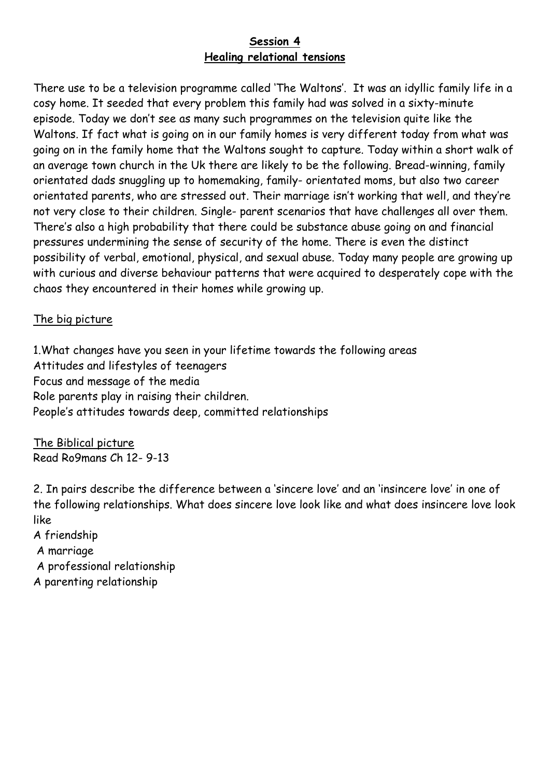# **Session 4 Healing relational tensions**

There use to be a television programme called 'The Waltons'. It was an idyllic family life in a cosy home. It seeded that every problem this family had was solved in a sixty-minute episode. Today we don't see as many such programmes on the television quite like the Waltons. If fact what is going on in our family homes is very different today from what was going on in the family home that the Waltons sought to capture. Today within a short walk of an average town church in the Uk there are likely to be the following. Bread-winning, family orientated dads snuggling up to homemaking, family- orientated moms, but also two career orientated parents, who are stressed out. Their marriage isn't working that well, and they're not very close to their children. Single- parent scenarios that have challenges all over them. There's also a high probability that there could be substance abuse going on and financial pressures undermining the sense of security of the home. There is even the distinct possibility of verbal, emotional, physical, and sexual abuse. Today many people are growing up with curious and diverse behaviour patterns that were acquired to desperately cope with the chaos they encountered in their homes while growing up.

# The big picture

1.What changes have you seen in your lifetime towards the following areas Attitudes and lifestyles of teenagers Focus and message of the media Role parents play in raising their children. People's attitudes towards deep, committed relationships

The Biblical picture Read Ro9mans Ch 12- 9-13

2. In pairs describe the difference between a 'sincere love' and an 'insincere love' in one of the following relationships. What does sincere love look like and what does insincere love look like

- A friendship
- A marriage
- A professional relationship
- A parenting relationship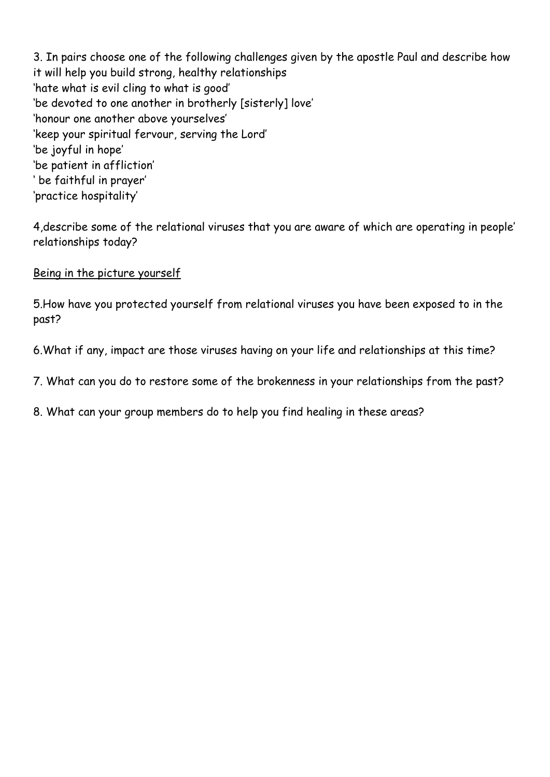3. In pairs choose one of the following challenges given by the apostle Paul and describe how it will help you build strong, healthy relationships 'hate what is evil cling to what is good' 'be devoted to one another in brotherly [sisterly] love' 'honour one another above yourselves' 'keep your spiritual fervour, serving the Lord' 'be joyful in hope' 'be patient in affliction' ' be faithful in prayer' 'practice hospitality'

4,describe some of the relational viruses that you are aware of which are operating in people' relationships today?

Being in the picture yourself

5.How have you protected yourself from relational viruses you have been exposed to in the past?

6.What if any, impact are those viruses having on your life and relationships at this time?

7. What can you do to restore some of the brokenness in your relationships from the past?

8. What can your group members do to help you find healing in these areas?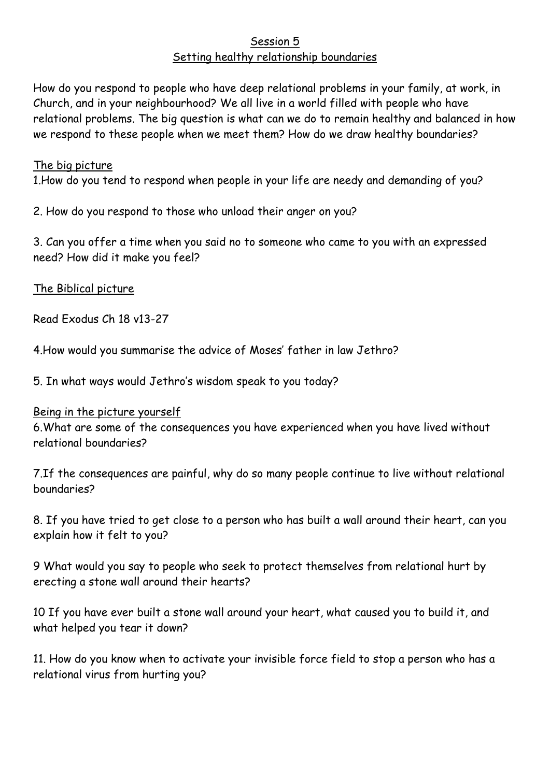# Session 5 Setting healthy relationship boundaries

How do you respond to people who have deep relational problems in your family, at work, in Church, and in your neighbourhood? We all live in a world filled with people who have relational problems. The big question is what can we do to remain healthy and balanced in how we respond to these people when we meet them? How do we draw healthy boundaries?

#### The big picture

1.How do you tend to respond when people in your life are needy and demanding of you?

2. How do you respond to those who unload their anger on you?

3. Can you offer a time when you said no to someone who came to you with an expressed need? How did it make you feel?

The Biblical picture

Read Exodus Ch 18 v13-27

4.How would you summarise the advice of Moses' father in law Jethro?

5. In what ways would Jethro's wisdom speak to you today?

#### Being in the picture yourself

6.What are some of the consequences you have experienced when you have lived without relational boundaries?

7.If the consequences are painful, why do so many people continue to live without relational boundaries?

8. If you have tried to get close to a person who has built a wall around their heart, can you explain how it felt to you?

9 What would you say to people who seek to protect themselves from relational hurt by erecting a stone wall around their hearts?

10 If you have ever built a stone wall around your heart, what caused you to build it, and what helped you tear it down?

11. How do you know when to activate your invisible force field to stop a person who has a relational virus from hurting you?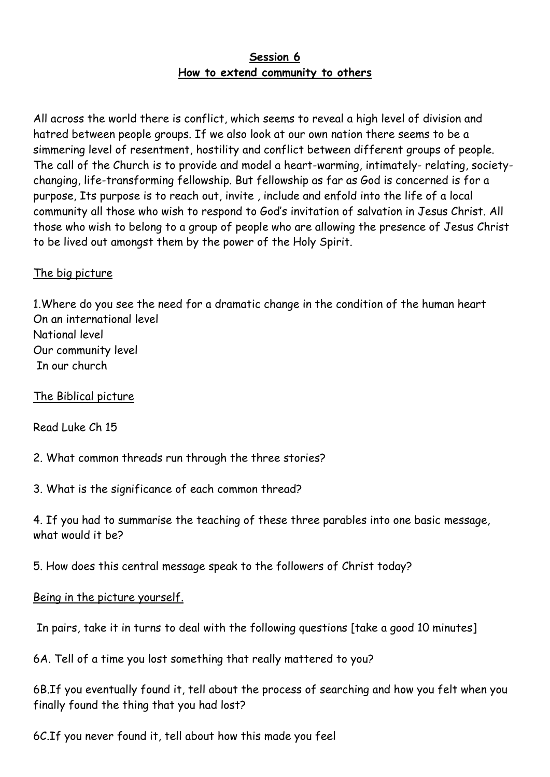# **Session 6 How to extend community to others**

All across the world there is conflict, which seems to reveal a high level of division and hatred between people groups. If we also look at our own nation there seems to be a simmering level of resentment, hostility and conflict between different groups of people. The call of the Church is to provide and model a heart-warming, intimately- relating, societychanging, life-transforming fellowship. But fellowship as far as God is concerned is for a purpose, Its purpose is to reach out, invite , include and enfold into the life of a local community all those who wish to respond to God's invitation of salvation in Jesus Christ. All those who wish to belong to a group of people who are allowing the presence of Jesus Christ to be lived out amongst them by the power of the Holy Spirit.

# The big picture

1.Where do you see the need for a dramatic change in the condition of the human heart On an international level National level Our community level In our church

The Biblical picture

Read Luke Ch 15

2. What common threads run through the three stories?

3. What is the significance of each common thread?

4. If you had to summarise the teaching of these three parables into one basic message, what would it be?

5. How does this central message speak to the followers of Christ today?

# Being in the picture yourself.

In pairs, take it in turns to deal with the following questions [take a good 10 minutes]

6A. Tell of a time you lost something that really mattered to you?

6B.If you eventually found it, tell about the process of searching and how you felt when you finally found the thing that you had lost?

6C.If you never found it, tell about how this made you feel